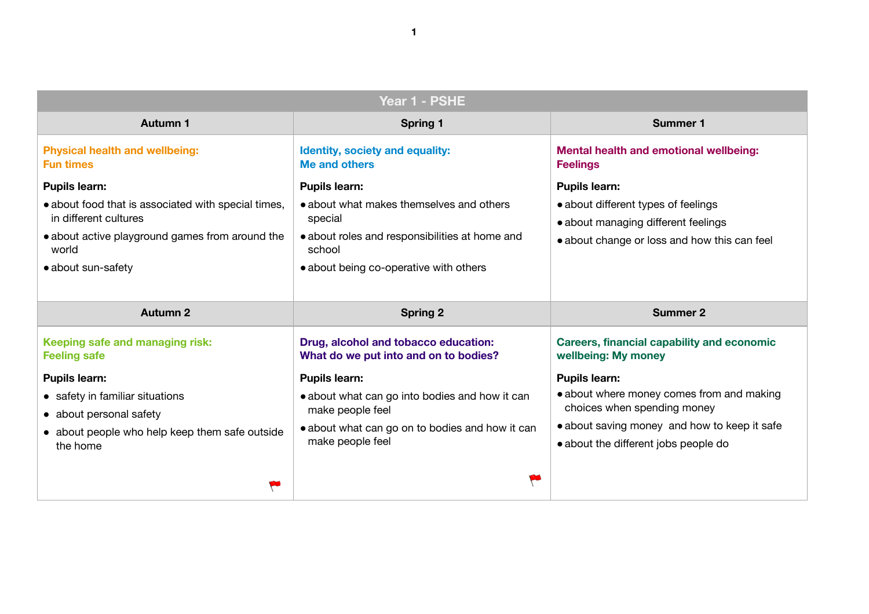**1**

# **emotional wellbeing:**

**bes of feelings** 

**different feelings** 

loss and how this can feel

### **Summer 2**

# capability and economic 1ey

ey comes from and making ending money ey and how to keep it safe nt jobs people do

| Year 1 - PSHE                                                               |                                                                               |                                                                       |
|-----------------------------------------------------------------------------|-------------------------------------------------------------------------------|-----------------------------------------------------------------------|
| <b>Autumn 1</b>                                                             | <b>Spring 1</b>                                                               | <b>Summer 1</b>                                                       |
| <b>Physical health and wellbeing:</b><br><b>Fun times</b>                   | <b>Identity, society and equality:</b><br><b>Me and others</b>                | <b>Mental health and emotional</b><br><b>Feelings</b>                 |
| <b>Pupils learn:</b><br>• about food that is associated with special times, | <b>Pupils learn:</b><br>• about what makes themselves and others              | <b>Pupils learn:</b>                                                  |
| in different cultures                                                       | special                                                                       | • about different types of feeling<br>• about managing different feel |
| • about active playground games from around the<br>world                    | • about roles and responsibilities at home and<br>school                      | · about change or loss and hov                                        |
| • about sun-safety                                                          | • about being co-operative with others                                        |                                                                       |
|                                                                             |                                                                               |                                                                       |
| <b>Autumn 2</b>                                                             | <b>Spring 2</b>                                                               | <b>Summer 2</b>                                                       |
| Keeping safe and managing risk:<br><b>Feeling safe</b>                      | Drug, alcohol and tobacco education:<br>What do we put into and on to bodies? | <b>Careers, financial capability a</b><br>wellbeing: My money         |
| <b>Pupils learn:</b>                                                        | <b>Pupils learn:</b>                                                          | <b>Pupils learn:</b>                                                  |
| • safety in familiar situations                                             | • about what can go into bodies and how it can                                | • about where money comes fr                                          |
| • about personal safety                                                     | make people feel                                                              | choices when spending mone                                            |
| • about people who help keep them safe outside<br>the home                  | • about what can go on to bodies and how it can<br>make people feel           | • about saving money and hov<br>• about the different jobs peopl      |
|                                                                             |                                                                               |                                                                       |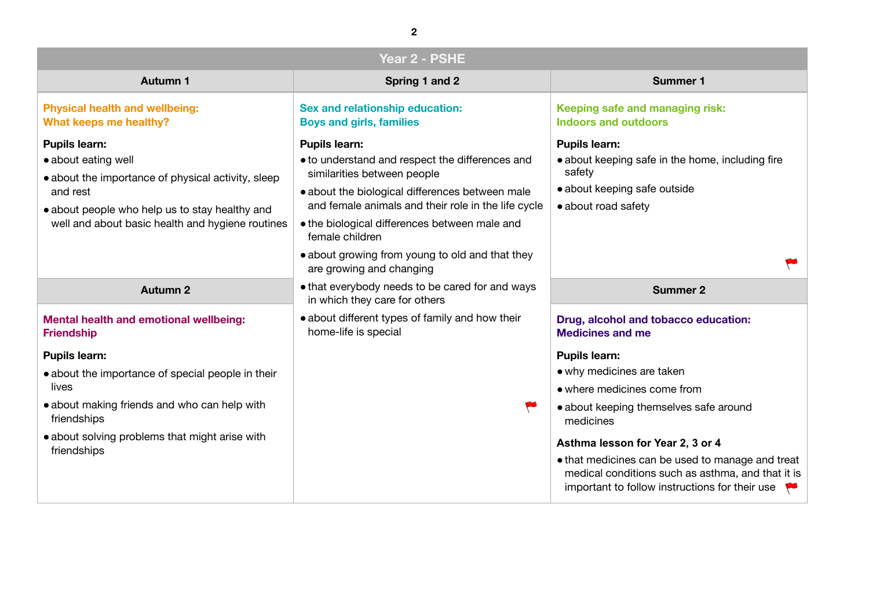### **Managing risk: indox**

 $\theta$  in the home, including fire

## outside

# **bruggery** education:

mselves safe around

# **Year 2, 3 or 4**

be used to manage and treat such as asthma, and that it is instructions for their use

| Year 2 - PSHE                                                                                                                                                                                                       |                                                                                                                                                                                                                                                                                                                                                                     |                                                                                                                                                                                                                                                                        |
|---------------------------------------------------------------------------------------------------------------------------------------------------------------------------------------------------------------------|---------------------------------------------------------------------------------------------------------------------------------------------------------------------------------------------------------------------------------------------------------------------------------------------------------------------------------------------------------------------|------------------------------------------------------------------------------------------------------------------------------------------------------------------------------------------------------------------------------------------------------------------------|
| <b>Autumn 1</b>                                                                                                                                                                                                     | Spring 1 and 2                                                                                                                                                                                                                                                                                                                                                      | <b>Summer 1</b>                                                                                                                                                                                                                                                        |
| <b>Physical health and wellbeing:</b><br>What keeps me healthy?                                                                                                                                                     | <b>Sex and relationship education:</b><br><b>Boys and girls, families</b>                                                                                                                                                                                                                                                                                           | <b>Keeping safe and managing r</b><br><b>Indoors and outdoors</b>                                                                                                                                                                                                      |
| <b>Pupils learn:</b><br>• about eating well<br>• about the importance of physical activity, sleep<br>and rest<br>• about people who help us to stay healthy and<br>well and about basic health and hygiene routines | <b>Pupils learn:</b><br>• to understand and respect the differences and<br>similarities between people<br>• about the biological differences between male<br>and female animals and their role in the life cycle<br>• the biological differences between male and<br>female children<br>• about growing from young to old and that they<br>are growing and changing | <b>Pupils learn:</b><br>• about keeping safe in the hom<br>safety<br>• about keeping safe outside<br>• about road safety                                                                                                                                               |
| <b>Autumn 2</b>                                                                                                                                                                                                     | • that everybody needs to be cared for and ways<br>in which they care for others                                                                                                                                                                                                                                                                                    | <b>Summer 2</b>                                                                                                                                                                                                                                                        |
| <b>Mental health and emotional wellbeing:</b><br><b>Friendship</b>                                                                                                                                                  | • about different types of family and how their<br>home-life is special                                                                                                                                                                                                                                                                                             | Drug, alcohol and tobacco ed<br><b>Medicines and me</b>                                                                                                                                                                                                                |
| <b>Pupils learn:</b><br>• about the importance of special people in their<br>lives<br>• about making friends and who can help with<br>friendships<br>• about solving problems that might arise with<br>friendships  |                                                                                                                                                                                                                                                                                                                                                                     | <b>Pupils learn:</b><br>• why medicines are taken<br>• where medicines come from<br>• about keeping themselves sa<br>medicines<br>Asthma lesson for Year 2, 3 o<br>• that medicines can be used to<br>medical conditions such as as<br>important to follow instruction |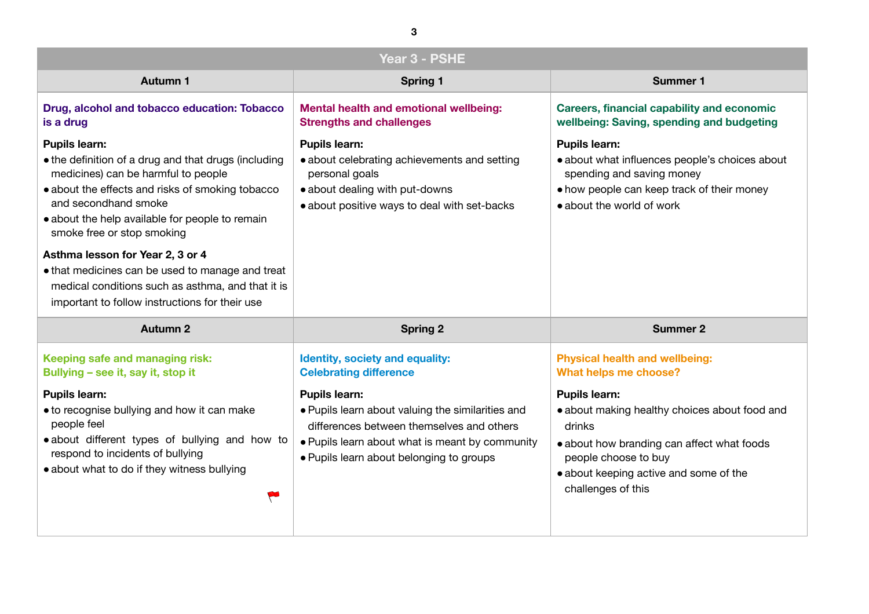**Capability and economic** spending and budgeting

ices people's choices about ng money eep track of their money  $\dot{ }$  work

**d** wellbeing:  ${$ 

Ithy choices about food and

ng can affect what foods buy ive and some of the

| Year 3 - PSHE                                                                                                                                                                                                                                                                                                        |                                                                                                                                                                                                                       |                                                                                                                                                                                    |
|----------------------------------------------------------------------------------------------------------------------------------------------------------------------------------------------------------------------------------------------------------------------------------------------------------------------|-----------------------------------------------------------------------------------------------------------------------------------------------------------------------------------------------------------------------|------------------------------------------------------------------------------------------------------------------------------------------------------------------------------------|
| <b>Autumn 1</b>                                                                                                                                                                                                                                                                                                      | <b>Spring 1</b>                                                                                                                                                                                                       | <b>Summer 1</b>                                                                                                                                                                    |
| Drug, alcohol and tobacco education: Tobacco<br>is a drug                                                                                                                                                                                                                                                            | <b>Mental health and emotional wellbeing:</b><br><b>Strengths and challenges</b>                                                                                                                                      | <b>Careers, financial capability a</b><br>wellbeing: Saving, spending a                                                                                                            |
| <b>Pupils learn:</b><br>• the definition of a drug and that drugs (including<br>medicines) can be harmful to people<br>• about the effects and risks of smoking tobacco<br>and secondhand smoke<br>• about the help available for people to remain<br>smoke free or stop smoking<br>Asthma lesson for Year 2, 3 or 4 | <b>Pupils learn:</b><br>• about celebrating achievements and setting<br>personal goals<br>• about dealing with put-downs<br>• about positive ways to deal with set-backs                                              | <b>Pupils learn:</b><br>• about what influences people<br>spending and saving money<br>• how people can keep track of<br>• about the world of work                                 |
| • that medicines can be used to manage and treat<br>medical conditions such as asthma, and that it is<br>important to follow instructions for their use                                                                                                                                                              |                                                                                                                                                                                                                       |                                                                                                                                                                                    |
| <b>Autumn 2</b>                                                                                                                                                                                                                                                                                                      | <b>Spring 2</b>                                                                                                                                                                                                       | <b>Summer 2</b>                                                                                                                                                                    |
| Keeping safe and managing risk:<br>Bullying - see it, say it, stop it                                                                                                                                                                                                                                                | <b>Identity, society and equality:</b><br><b>Celebrating difference</b>                                                                                                                                               | <b>Physical health and wellbeing</b><br>What helps me choose?                                                                                                                      |
| <b>Pupils learn:</b><br>• to recognise bullying and how it can make<br>people feel<br>• about different types of bullying and how to<br>respond to incidents of bullying<br>• about what to do if they witness bullying                                                                                              | <b>Pupils learn:</b><br>• Pupils learn about valuing the similarities and<br>differences between themselves and others<br>• Pupils learn about what is meant by community<br>• Pupils learn about belonging to groups | <b>Pupils learn:</b><br>• about making healthy choices<br>drinks<br>• about how branding can affed<br>people choose to buy<br>• about keeping active and son<br>challenges of this |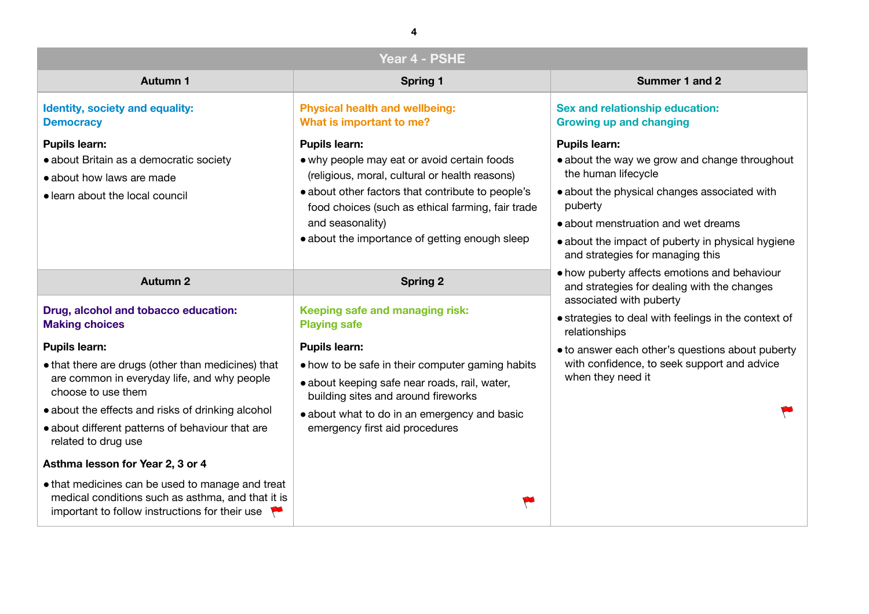# **mmer 1 and 2**

### **ip education: anging**

grow and change throughout

changes associated with

**n** and wet dreams

of puberty in physical hygiene managing this

ts emotions and behaviour dealing with the changes *aberty* 

with feelings in the context of

her's questions about puberty p seek support and advice

| Year 4 - PSHE                                                                                                                                                                                                                                                                   |                                                                                                                                                                                                                                                                                                       |                                                                                                                                                                                   |
|---------------------------------------------------------------------------------------------------------------------------------------------------------------------------------------------------------------------------------------------------------------------------------|-------------------------------------------------------------------------------------------------------------------------------------------------------------------------------------------------------------------------------------------------------------------------------------------------------|-----------------------------------------------------------------------------------------------------------------------------------------------------------------------------------|
| <b>Autumn 1</b>                                                                                                                                                                                                                                                                 | <b>Spring 1</b>                                                                                                                                                                                                                                                                                       | <b>Sum</b>                                                                                                                                                                        |
| <b>Identity, society and equality:</b><br><b>Democracy</b>                                                                                                                                                                                                                      | <b>Physical health and wellbeing:</b><br>What is important to me?                                                                                                                                                                                                                                     | <b>Sex and relationship</b><br><b>Growing up and cha</b>                                                                                                                          |
| <b>Pupils learn:</b><br>• about Britain as a democratic society<br>• about how laws are made<br>• learn about the local council                                                                                                                                                 | <b>Pupils learn:</b><br>• why people may eat or avoid certain foods<br>(religious, moral, cultural or health reasons)<br>• about other factors that contribute to people's<br>food choices (such as ethical farming, fair trade<br>and seasonality)<br>• about the importance of getting enough sleep | <b>Pupils learn:</b><br>• about the way we g<br>the human lifecycle<br>· about the physical o<br>puberty<br>• about menstruation<br>• about the impact of<br>and strategies for m |
| <b>Autumn 2</b>                                                                                                                                                                                                                                                                 | <b>Spring 2</b>                                                                                                                                                                                                                                                                                       | • how puberty affects<br>and strategies for do<br>associated with pub<br>• strategies to deal w<br>relationships                                                                  |
| Drug, alcohol and tobacco education:<br><b>Making choices</b>                                                                                                                                                                                                                   | Keeping safe and managing risk:<br><b>Playing safe</b>                                                                                                                                                                                                                                                |                                                                                                                                                                                   |
| <b>Pupils learn:</b><br>• that there are drugs (other than medicines) that<br>are common in everyday life, and why people<br>choose to use them<br>• about the effects and risks of drinking alcohol<br>• about different patterns of behaviour that are<br>related to drug use | <b>Pupils learn:</b><br>• how to be safe in their computer gaming habits<br>• about keeping safe near roads, rail, water,<br>building sites and around fireworks<br>• about what to do in an emergency and basic<br>emergency first aid procedures                                                    | • to answer each othe<br>with confidence, to<br>when they need it                                                                                                                 |
| Asthma lesson for Year 2, 3 or 4<br>• that medicines can be used to manage and treat<br>medical conditions such as asthma, and that it is<br>important to follow instructions for their use                                                                                     |                                                                                                                                                                                                                                                                                                       |                                                                                                                                                                                   |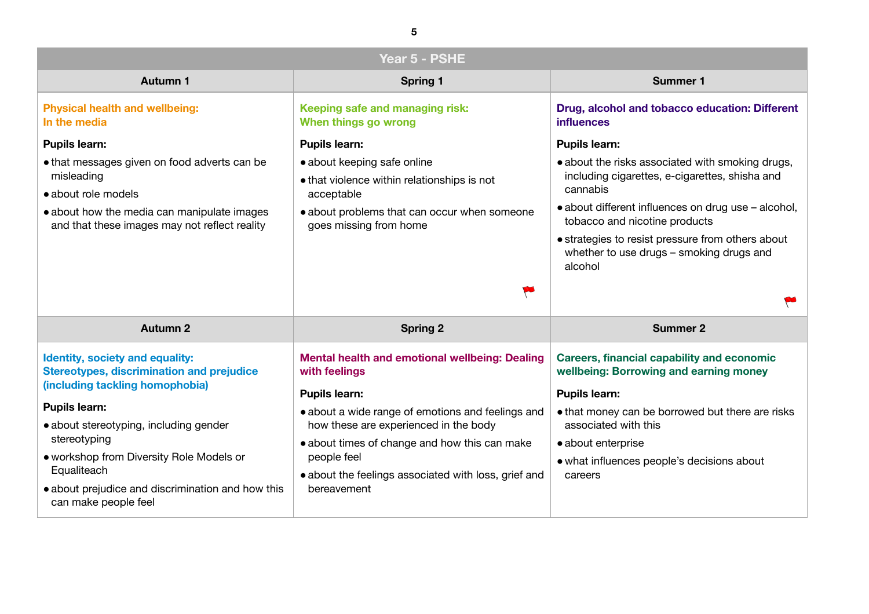**tobacco education: Different** 

sociated with smoking drugs, es, e-cigarettes, shisha and

luences on drug use – alcohol, tine products

st pressure from others about ugs – smoking drugs and



capability and economic **wing and earning money** 

e borrowed but there are risks his

eople's decisions about

| Year 5 - PSHE                                                                                                                                                                                                                                                                                                                                           |                                                                                                                                                                                                                                                                                                                                     |                                                                                                                                                                                                                                                             |
|---------------------------------------------------------------------------------------------------------------------------------------------------------------------------------------------------------------------------------------------------------------------------------------------------------------------------------------------------------|-------------------------------------------------------------------------------------------------------------------------------------------------------------------------------------------------------------------------------------------------------------------------------------------------------------------------------------|-------------------------------------------------------------------------------------------------------------------------------------------------------------------------------------------------------------------------------------------------------------|
| <b>Autumn 1</b>                                                                                                                                                                                                                                                                                                                                         | <b>Spring 1</b>                                                                                                                                                                                                                                                                                                                     | <b>Summer 1</b>                                                                                                                                                                                                                                             |
| <b>Physical health and wellbeing:</b><br>In the media                                                                                                                                                                                                                                                                                                   | Keeping safe and managing risk:<br>When things go wrong                                                                                                                                                                                                                                                                             | Drug, alcohol and tobacco ed<br><b>influences</b>                                                                                                                                                                                                           |
| <b>Pupils learn:</b><br>• that messages given on food adverts can be<br>misleading<br>• about role models<br>• about how the media can manipulate images<br>and that these images may not reflect reality                                                                                                                                               | <b>Pupils learn:</b><br>• about keeping safe online<br>• that violence within relationships is not<br>acceptable<br>• about problems that can occur when someone<br>goes missing from home                                                                                                                                          | <b>Pupils learn:</b><br>• about the risks associated wit<br>including cigarettes, e-cigaret<br>cannabis<br>• about different influences on<br>tobacco and nicotine product<br>• strategies to resist pressure fr<br>whether to use drugs - smoki<br>alcohol |
| <b>Autumn 2</b>                                                                                                                                                                                                                                                                                                                                         | <b>Spring 2</b>                                                                                                                                                                                                                                                                                                                     | <b>Summer 2</b>                                                                                                                                                                                                                                             |
| <b>Identity, society and equality:</b><br><b>Stereotypes, discrimination and prejudice</b><br>(including tackling homophobia)<br><b>Pupils learn:</b><br>• about stereotyping, including gender<br>stereotyping<br>• workshop from Diversity Role Models or<br>Equaliteach<br>• about prejudice and discrimination and how this<br>can make people feel | <b>Mental health and emotional wellbeing: Dealing</b><br>with feelings<br><b>Pupils learn:</b><br>• about a wide range of emotions and feelings and<br>how these are experienced in the body<br>• about times of change and how this can make<br>people feel<br>• about the feelings associated with loss, grief and<br>bereavement | <b>Careers, financial capability a</b><br>wellbeing: Borrowing and ear<br><b>Pupils learn:</b><br>• that money can be borrowed<br>associated with this<br>• about enterprise<br>• what influences people's deci<br>careers                                  |